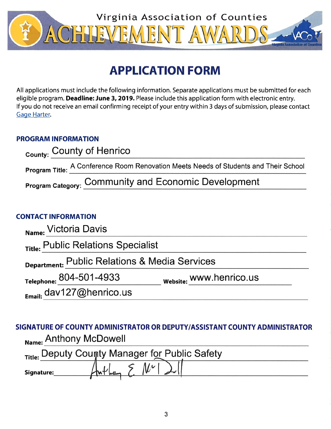

# **APPLICATION FORM**

All applications must include the following information. Separate applications must be submitted for each eligible program. Deadline: June 3, 2019. Please include this application form with electronic entry. If you do not receive an email confirming receipt of your entry within 3 days of submission, please contact Gage Harter.

## **PROGRAM INFORMATION**

| <sub>County:</sub> County of Henrico                                                 |
|--------------------------------------------------------------------------------------|
| Program Title: A Conference Room Renovation Meets Needs of Students and Their School |
| <b>Program Category: Community and Economic Development</b>                          |

### **CONTACT INFORMATION**

| Name: Victoria Davis                          |                         |  |
|-----------------------------------------------|-------------------------|--|
| Title: Public Relations Specialist            |                         |  |
| Department: Public Relations & Media Services |                         |  |
| Telephone: 804-501-4933                       | website: WWW.henrico.us |  |
| $_{\text{Fmail}}$ dav127@henrico.us           |                         |  |

# SIGNATURE OF COUNTY ADMINISTRATOR OR DEPUTY/ASSISTANT COUNTY ADMINISTRATOR Name: Anthony McDowell

| Title: Deputy County Manager for Public Safety |  |  |
|------------------------------------------------|--|--|
| Signature:                                     |  |  |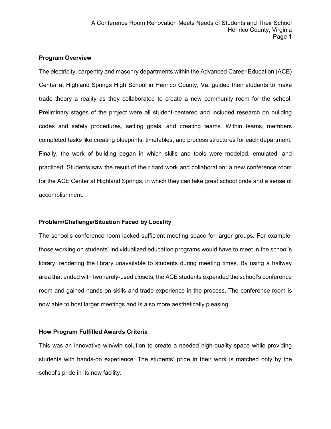#### **Program Overview**

The electricity, carpentry and masonry departments within the Advanced Career Education (ACE) Center at Highland Springs High School in Henrico County, Va. guided their students to make trade theory a reality as they collaborated to create a new community room for the school. Preliminary stages of the project were all student-centered and included research on building codes and safety procedures, setting goals, and creating teams. Within teams, members completed tasks like creating blueprints, timetables, and process structures for each department. Finally, the work of building began in which skills and tools were modeled, emulated, and practiced. Students saw the result of their hard work and collaboration: a new conference room for the ACE Center at Highland Springs, in which they can take great school pride and a sense of accomplishment.

#### **Problem/Challenge/Situation Faced by Locality**

The school's conference room lacked sufficient meeting space for larger groups. For example, those working on students' individualized education programs would have to meet in the school's library, rendering the library unavailable to students during meeting times. By using a hallway area that ended with two rarely-used closets, the ACE students expanded the school's conference room and gained hands-on skills and trade experience in the process. The conference room is now able to host larger meetings and is also more aesthetically pleasing.

#### **How Program Fulfilled Awards Criteria**

This was an innovative win/win solution to create a needed high-quality space while providing students with hands-on experience. The students' pride in their work is matched only by the school's pride in its new facility.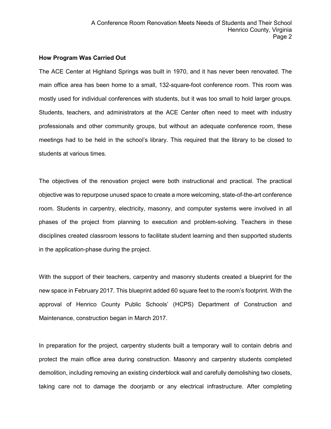#### **How Program Was Carried Out**

The ACE Center at Highland Springs was built in 1970, and it has never been renovated. The main office area has been home to a small, 132-square-foot conference room. This room was mostly used for individual conferences with students, but it was too small to hold larger groups. Students, teachers, and administrators at the ACE Center often need to meet with industry professionals and other community groups, but without an adequate conference room, these meetings had to be held in the school's library. This required that the library to be closed to students at various times.

The objectives of the renovation project were both instructional and practical. The practical objective was to repurpose unused space to create a more welcoming, state-of-the-art conference room. Students in carpentry, electricity, masonry, and computer systems were involved in all phases of the project from planning to execution and problem-solving. Teachers in these disciplines created classroom lessons to facilitate student learning and then supported students in the application-phase during the project.

With the support of their teachers, carpentry and masonry students created a blueprint for the new space in February 2017. This blueprint added 60 square feet to the room's footprint. With the approval of Henrico County Public Schools' (HCPS) Department of Construction and Maintenance, construction began in March 2017.

In preparation for the project, carpentry students built a temporary wall to contain debris and protect the main office area during construction. Masonry and carpentry students completed demolition, including removing an existing cinderblock wall and carefully demolishing two closets, taking care not to damage the doorjamb or any electrical infrastructure. After completing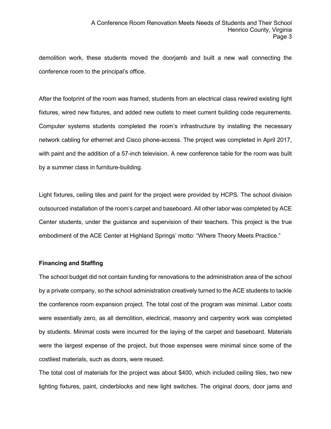demolition work, these students moved the doorjamb and built a new wall connecting the conference room to the principal's office.

After the footprint of the room was framed, students from an electrical class rewired existing light fixtures, wired new fixtures, and added new outlets to meet current building code requirements. Computer systems students completed the room's infrastructure by installing the necessary network cabling for ethernet and Cisco phone-access. The project was completed in April 2017, with paint and the addition of a 57-inch television. A new conference table for the room was built by a summer class in furniture-building.

Light fixtures, ceiling tiles and paint for the project were provided by HCPS. The school division outsourced installation of the room's carpet and baseboard. All other labor was completed by ACE Center students, under the guidance and supervision of their teachers. This project is the true embodiment of the ACE Center at Highland Springs' motto: "Where Theory Meets Practice."

#### **Financing and Staffing**

The school budget did not contain funding for renovations to the administration area of the school by a private company, so the school administration creatively turned to the ACE students to tackle the conference room expansion project. The total cost of the program was minimal. Labor costs were essentially zero, as all demolition, electrical, masonry and carpentry work was completed by students. Minimal costs were incurred for the laying of the carpet and baseboard. Materials were the largest expense of the project, but those expenses were minimal since some of the costliest materials, such as doors, were reused.

The total cost of materials for the project was about \$400, which included ceiling tiles, two new lighting fixtures, paint, cinderblocks and new light switches. The original doors, door jams and